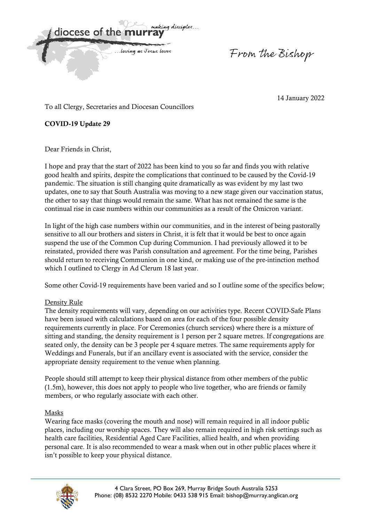malejna discimles diocese of the n ... loving as Jesus loves

From the Bishop

14 January 2022

To all Clergy, Secretaries and Diocesan Councillors

**COVID-19 Update 29** 

Dear Friends in Christ,

I hope and pray that the start of 2022 has been kind to you so far and finds you with relative good health and spirits, despite the complications that continued to be caused by the Covid-19 pandemic. The situation is still changing quite dramatically as was evident by my last two updates, one to say that South Australia was moving to a new stage given our vaccination status, the other to say that things would remain the same. What has not remained the same is the continual rise in case numbers within our communities as a result of the Omicron variant.

In light of the high case numbers within our communities, and in the interest of being pastorally sensitive to all our brothers and sisters in Christ, it is felt that it would be best to once again suspend the use of the Common Cup during Communion. I had previously allowed it to be reinstated, provided there was Parish consultation and agreement. For the time being, Parishes should return to receiving Communion in one kind, or making use of the pre-intinction method which I outlined to Clergy in Ad Clerum 18 last year.

Some other Covid-19 requirements have been varied and so I outline some of the specifics below;

# Density Rule

The density requirements will vary, depending on our activities type. Recent COVID-Safe Plans have been issued with calculations based on area for each of the four possible density requirements currently in place. For Ceremonies (church services) where there is a mixture of sitting and standing, the density requirement is 1 person per 2 square metres. If congregations are seated only, the density can be 3 people per 4 square metres. The same requirements apply for Weddings and Funerals, but if an ancillary event is associated with the service, consider the appropriate density requirement to the venue when planning.

People should still attempt to keep their physical distance from other members of the public (1.5m), however, this does not apply to people who live together, who are friends or family members, or who regularly associate with each other.

### Masks

Wearing face masks (covering the mouth and nose) will remain required in all indoor public places, including our worship spaces. They will also remain required in high risk settings such as health care facilities, Residential Aged Care Facilities, allied health, and when providing personal care. It is also recommended to wear a mask when out in other public places where it isn't possible to keep your physical distance.

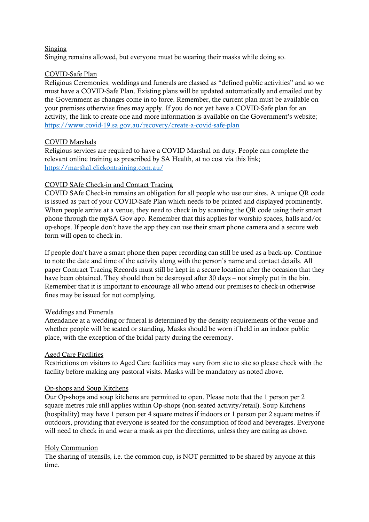#### Singing

Singing remains allowed, but everyone must be wearing their masks while doing so.

## COVID-Safe Plan

Religious Ceremonies, weddings and funerals are classed as "defined public activities" and so we must have a COVID-Safe Plan. Existing plans will be updated automatically and emailed out by the Government as changes come in to force. Remember, the current plan must be available on your premises otherwise fines may apply. If you do not yet have a COVID-Safe plan for an activity, the link to create one and more information is available on the Government's website; https://www.covid-19.sa.gov.au/recovery/create-a-covid-safe-plan

## COVID Marshals

Religious services are required to have a COVID Marshal on duty. People can complete the relevant online training as prescribed by SA Health, at no cost via this link; https://marshal.clickontraining.com.au/

## COVID SAfe Check-in and Contact Tracing

COVID SAfe Check-in remains an obligation for all people who use our sites. A unique QR code is issued as part of your COVID-Safe Plan which needs to be printed and displayed prominently. When people arrive at a venue, they need to check in by scanning the QR code using their smart phone through the mySA Gov app. Remember that this applies for worship spaces, halls and/or op-shops. If people don't have the app they can use their smart phone camera and a secure web form will open to check in.

If people don't have a smart phone then paper recording can still be used as a back-up. Continue to note the date and time of the activity along with the person's name and contact details. All paper Contract Tracing Records must still be kept in a secure location after the occasion that they have been obtained. They should then be destroyed after 30 days – not simply put in the bin. Remember that it is important to encourage all who attend our premises to check-in otherwise fines may be issued for not complying.

### Weddings and Funerals

Attendance at a wedding or funeral is determined by the density requirements of the venue and whether people will be seated or standing. Masks should be worn if held in an indoor public place, with the exception of the bridal party during the ceremony.

### Aged Care Facilities

Restrictions on visitors to Aged Care facilities may vary from site to site so please check with the facility before making any pastoral visits. Masks will be mandatory as noted above.

### Op-shops and Soup Kitchens

Our Op-shops and soup kitchens are permitted to open. Please note that the 1 person per 2 square metres rule still applies within Op-shops (non-seated activity/retail). Soup Kitchens (hospitality) may have 1 person per 4 square metres if indoors or 1 person per 2 square metres if outdoors, providing that everyone is seated for the consumption of food and beverages. Everyone will need to check in and wear a mask as per the directions, unless they are eating as above.

### Holy Communion

The sharing of utensils, i.e. the common cup, is NOT permitted to be shared by anyone at this time.